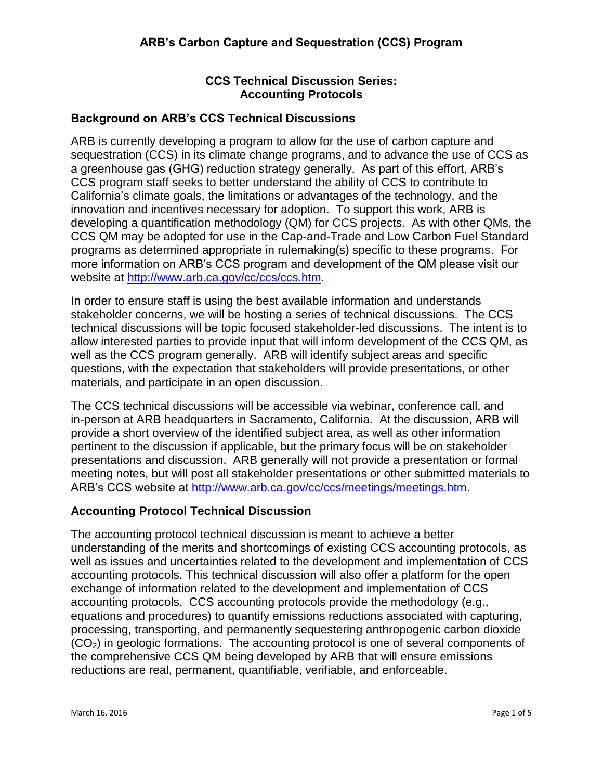# **CCS Technical Discussion Series: Accounting Protocols**

## **Background on ARB's CCS Technical Discussions**

ARB is currently developing a program to allow for the use of carbon capture and sequestration (CCS) in its climate change programs, and to advance the use of CCS as a greenhouse gas (GHG) reduction strategy generally. As part of this effort, ARB's CCS program staff seeks to better understand the ability of CCS to contribute to California's climate goals, the limitations or advantages of the technology, and the innovation and incentives necessary for adoption. To support this work, ARB is developing a quantification methodology (QM) for CCS projects. As with other QMs, the CCS QM may be adopted for use in the Cap-and-Trade and Low Carbon Fuel Standard programs as determined appropriate in rulemaking(s) specific to these programs. For more information on ARB's CCS program and development of the QM please visit our website at [http://www.arb.ca.gov/cc/ccs/ccs.htm.](http://www.arb.ca.gov/cc/ccs/ccs.htm)

In order to ensure staff is using the best available information and understands stakeholder concerns, we will be hosting a series of technical discussions. The CCS technical discussions will be topic focused stakeholder-led discussions. The intent is to allow interested parties to provide input that will inform development of the CCS QM, as well as the CCS program generally. ARB will identify subject areas and specific questions, with the expectation that stakeholders will provide presentations, or other materials, and participate in an open discussion.

The CCS technical discussions will be accessible via webinar, conference call, and in-person at ARB headquarters in Sacramento, California. At the discussion, ARB will provide a short overview of the identified subject area, as well as other information pertinent to the discussion if applicable, but the primary focus will be on stakeholder presentations and discussion. ARB generally will not provide a presentation or formal meeting notes, but will post all stakeholder presentations or other submitted materials to ARB's CCS website at [http://www.arb.ca.gov/cc/ccs/meetings/meetings.htm.](http://www.arb.ca.gov/cc/ccs/meetings/meetings.htm)

## **Accounting Protocol Technical Discussion**

The accounting protocol technical discussion is meant to achieve a better understanding of the merits and shortcomings of existing CCS accounting protocols, as well as issues and uncertainties related to the development and implementation of CCS accounting protocols. This technical discussion will also offer a platform for the open exchange of information related to the development and implementation of CCS accounting protocols. CCS accounting protocols provide the methodology (e.g., equations and procedures) to quantify emissions reductions associated with capturing, processing, transporting, and permanently sequestering anthropogenic carbon dioxide  $(CO<sub>2</sub>)$  in geologic formations. The accounting protocol is one of several components of the comprehensive CCS QM being developed by ARB that will ensure emissions reductions are real, permanent, quantifiable, verifiable, and enforceable.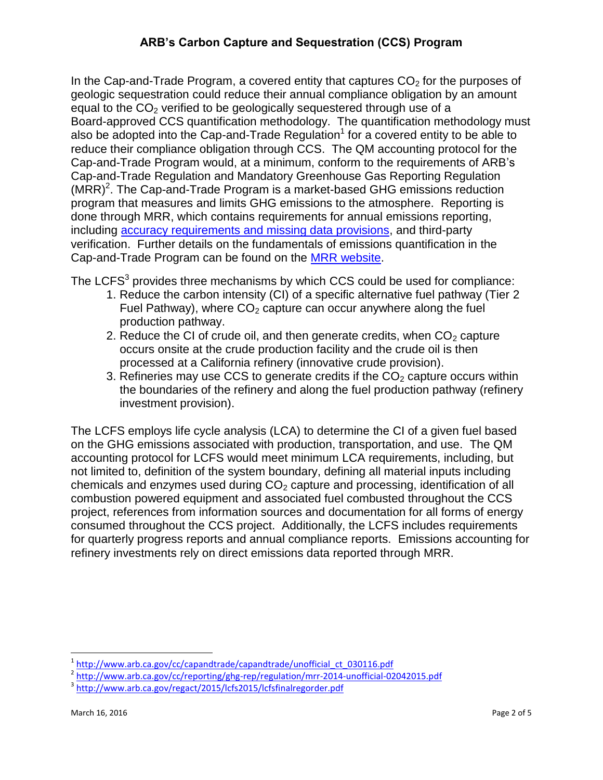In the Cap-and-Trade Program, a covered entity that captures  $CO<sub>2</sub>$  for the purposes of geologic sequestration could reduce their annual compliance obligation by an amount equal to the  $CO<sub>2</sub>$  verified to be geologically sequestered through use of a Board-approved CCS quantification methodology. The quantification methodology must also be adopted into the Cap-and-Trade Regulation<sup>1</sup> for a covered entity to be able to reduce their compliance obligation through CCS. The QM accounting protocol for the Cap-and-Trade Program would, at a minimum, conform to the requirements of ARB's Cap-and-Trade Regulation and Mandatory Greenhouse Gas Reporting Regulation  $(MRR)^2$ . The Cap-and-Trade Program is a market-based GHG emissions reduction program that measures and limits GHG emissions to the atmosphere. Reporting is done through MRR, which contains requirements for annual emissions reporting, including [accuracy requirements and missing data provisions,](http://www.arb.ca.gov/cc/reporting/ghg-rep/guidance/accuracy-missingdata.pdf) and third-party verification. Further details on the fundamentals of emissions quantification in the Cap-and-Trade Program can be found on the MRR [website.](http://www.arb.ca.gov/cc/reporting/ghg-rep/ghg-rep.htm)

The LCFS<sup>3</sup> provides three mechanisms by which CCS could be used for compliance:

- 1. Reduce the carbon intensity (CI) of a specific alternative fuel pathway (Tier 2 Fuel Pathway), where  $CO<sub>2</sub>$  capture can occur anywhere along the fuel production pathway.
- 2. Reduce the CI of crude oil, and then generate credits, when  $CO<sub>2</sub>$  capture occurs onsite at the crude production facility and the crude oil is then processed at a California refinery (innovative crude provision).
- 3. Refineries may use CCS to generate credits if the  $CO<sub>2</sub>$  capture occurs within the boundaries of the refinery and along the fuel production pathway (refinery investment provision).

The LCFS employs life cycle analysis (LCA) to determine the CI of a given fuel based on the GHG emissions associated with production, transportation, and use. The QM accounting protocol for LCFS would meet minimum LCA requirements, including, but not limited to, definition of the system boundary, defining all material inputs including chemicals and enzymes used during  $CO<sub>2</sub>$  capture and processing, identification of all combustion powered equipment and associated fuel combusted throughout the CCS project, references from information sources and documentation for all forms of energy consumed throughout the CCS project. Additionally, the LCFS includes requirements for quarterly progress reports and annual compliance reports. Emissions accounting for refinery investments rely on direct emissions data reported through MRR.

 $\overline{a}$ 1 [http://www.arb.ca.gov/cc/capandtrade/capandtrade/unofficial\\_ct\\_030116.pdf](http://www.arb.ca.gov/cc/capandtrade/capandtrade/unofficial_ct_030116.pdf)

<sup>&</sup>lt;sup>2</sup> <http://www.arb.ca.gov/cc/reporting/ghg-rep/regulation/mrr-2014-unofficial-02042015.pdf>

<sup>&</sup>lt;sup>3</sup><http://www.arb.ca.gov/regact/2015/lcfs2015/lcfsfinalregorder.pdf>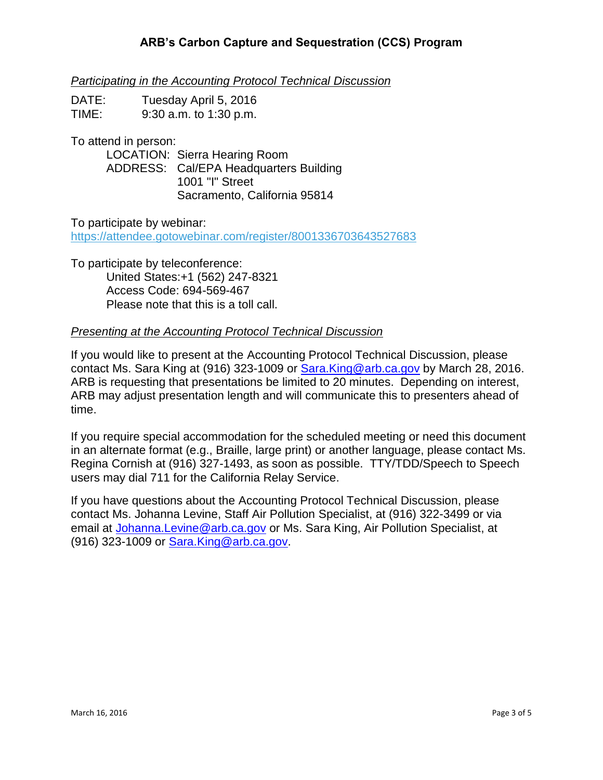*Participating in the Accounting Protocol Technical Discussion*

| DATE: | Tuesday April 5, 2016    |
|-------|--------------------------|
| TIME: | $9:30$ a.m. to 1:30 p.m. |

To attend in person:

LOCATION: Sierra Hearing Room ADDRESS: Cal/EPA Headquarters Building 1001 "I" Street Sacramento, California 95814

To participate by webinar:

<https://attendee.gotowebinar.com/register/8001336703643527683>

To participate by teleconference: United States:+1 (562) 247-8321 Access Code: 694-569-467 Please note that this is a toll call.

#### *Presenting at the Accounting Protocol Technical Discussion*

If you would like to present at the Accounting Protocol Technical Discussion, please contact Ms. Sara King at (916) 323-1009 or [Sara.King@arb.ca.gov](mailto:Sara.King@arb.ca.gov) by March 28, 2016. ARB is requesting that presentations be limited to 20 minutes. Depending on interest, ARB may adjust presentation length and will communicate this to presenters ahead of time.

If you require special accommodation for the scheduled meeting or need this document in an alternate format (e.g., Braille, large print) or another language, please contact Ms. Regina Cornish at (916) 327-1493, as soon as possible. TTY/TDD/Speech to Speech users may dial 711 for the California Relay Service.

If you have questions about the Accounting Protocol Technical Discussion, please contact Ms. Johanna Levine, Staff Air Pollution Specialist, at (916) 322-3499 or via email at [Johanna.Levine@arb.ca.gov](mailto:Johanna.Levine@arb.ca.gov) or Ms. Sara King, Air Pollution Specialist, at (916) 323-1009 or [Sara.King@arb.ca.gov.](mailto:Sara.King@arb.ca.gov)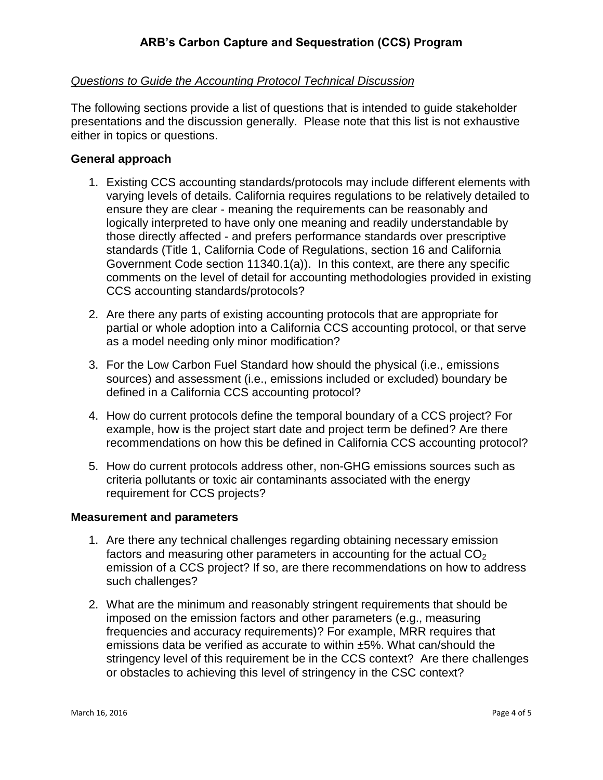## *Questions to Guide the Accounting Protocol Technical Discussion*

The following sections provide a list of questions that is intended to guide stakeholder presentations and the discussion generally. Please note that this list is not exhaustive either in topics or questions.

### **General approach**

- 1. Existing CCS accounting standards/protocols may include different elements with varying levels of details. California requires regulations to be relatively detailed to ensure they are clear - meaning the requirements can be reasonably and logically interpreted to have only one meaning and readily understandable by those directly affected - and prefers performance standards over prescriptive standards (Title 1, California Code of Regulations, section 16 and California Government Code section 11340.1(a)). In this context, are there any specific comments on the level of detail for accounting methodologies provided in existing CCS accounting standards/protocols?
- 2. Are there any parts of existing accounting protocols that are appropriate for partial or whole adoption into a California CCS accounting protocol, or that serve as a model needing only minor modification?
- 3. For the Low Carbon Fuel Standard how should the physical (i.e., emissions sources) and assessment (i.e., emissions included or excluded) boundary be defined in a California CCS accounting protocol?
- 4. How do current protocols define the temporal boundary of a CCS project? For example, how is the project start date and project term be defined? Are there recommendations on how this be defined in California CCS accounting protocol?
- 5. How do current protocols address other, non-GHG emissions sources such as criteria pollutants or toxic air contaminants associated with the energy requirement for CCS projects?

#### **Measurement and parameters**

- 1. Are there any technical challenges regarding obtaining necessary emission factors and measuring other parameters in accounting for the actual  $CO<sub>2</sub>$ emission of a CCS project? If so, are there recommendations on how to address such challenges?
- 2. What are the minimum and reasonably stringent requirements that should be imposed on the emission factors and other parameters (e.g., measuring frequencies and accuracy requirements)? For example, MRR requires that emissions data be verified as accurate to within ±5%. What can/should the stringency level of this requirement be in the CCS context? Are there challenges or obstacles to achieving this level of stringency in the CSC context?